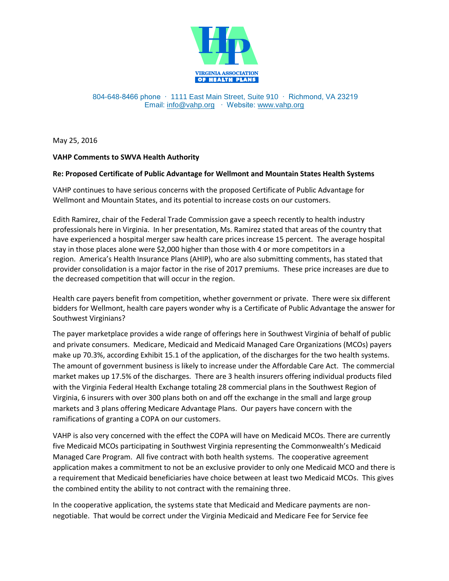

## 804-648-8466 phone ∙ 1111 East Main Street, Suite 910 ∙ Richmond, VA 23219 Email: [info@vahp.org](mailto:info@vahp.org) ∙ Website: [www.vahp.org](http://www.vahp.org/)

May 25, 2016

## **VAHP Comments to SWVA Health Authority**

## **Re: Proposed Certificate of Public Advantage for Wellmont and Mountain States Health Systems**

VAHP continues to have serious concerns with the proposed Certificate of Public Advantage for Wellmont and Mountain States, and its potential to increase costs on our customers.

Edith Ramirez, chair of the Federal Trade Commission gave a speech recently to health industry professionals here in Virginia. In her presentation, Ms. Ramirez stated that areas of the country that have experienced a hospital merger saw health care prices increase 15 percent. The average hospital stay in those places alone were \$2,000 higher than those with 4 or more competitors in a region. America's Health Insurance Plans (AHIP), who are also submitting comments, has stated that provider consolidation is a major factor in the rise of 2017 premiums. These price increases are due to the decreased competition that will occur in the region.

Health care payers benefit from competition, whether government or private. There were six different bidders for Wellmont, health care payers wonder why is a Certificate of Public Advantage the answer for Southwest Virginians?

The payer marketplace provides a wide range of offerings here in Southwest Virginia of behalf of public and private consumers. Medicare, Medicaid and Medicaid Managed Care Organizations (MCOs) payers make up 70.3%, according Exhibit 15.1 of the application, of the discharges for the two health systems. The amount of government business is likely to increase under the Affordable Care Act. The commercial market makes up 17.5% of the discharges. There are 3 health insurers offering individual products filed with the Virginia Federal Health Exchange totaling 28 commercial plans in the Southwest Region of Virginia, 6 insurers with over 300 plans both on and off the exchange in the small and large group markets and 3 plans offering Medicare Advantage Plans. Our payers have concern with the ramifications of granting a COPA on our customers.

VAHP is also very concerned with the effect the COPA will have on Medicaid MCOs. There are currently five Medicaid MCOs participating in Southwest Virginia representing the Commonwealth's Medicaid Managed Care Program. All five contract with both health systems. The cooperative agreement application makes a commitment to not be an exclusive provider to only one Medicaid MCO and there is a requirement that Medicaid beneficiaries have choice between at least two Medicaid MCOs. This gives the combined entity the ability to not contract with the remaining three.

In the cooperative application, the systems state that Medicaid and Medicare payments are nonnegotiable. That would be correct under the Virginia Medicaid and Medicare Fee for Service fee